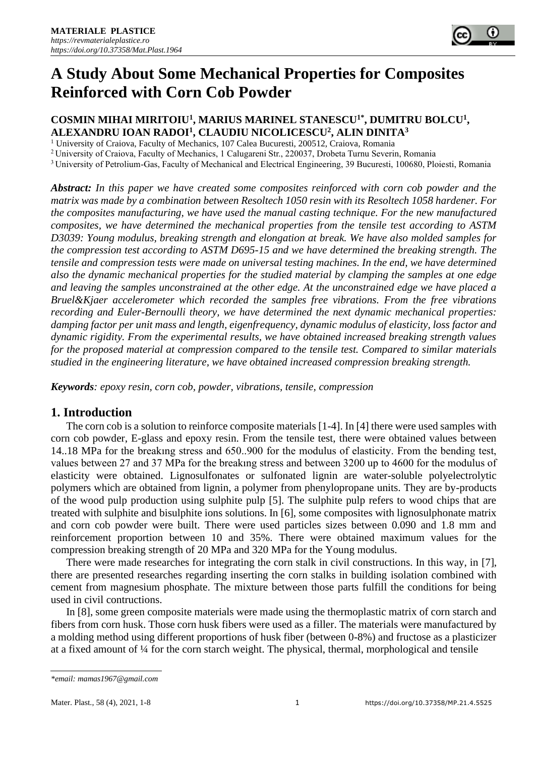# **A Study About Some Mechanical Properties for Composites Reinforced with Corn Cob Powder**

## **COSMIN MIHAI MIRITOIU<sup>1</sup> , MARIUS MARINEL STANESCU1\*, DUMITRU BOLCU<sup>1</sup> , ALEXANDRU IOAN RADOI<sup>1</sup> , CLAUDIU NICOLICESCU<sup>2</sup> , ALIN DINITA<sup>3</sup>**

<sup>1</sup> University of Craiova, Faculty of Mechanics, 107 Calea Bucuresti, 200512, Craiova, Romania

<sup>2</sup>University of Craiova, Faculty of Mechanics, 1 Calugareni Str., 220037, Drobeta Turnu Severin, Romania

<sup>3</sup> University of Petrolium-Gas, Faculty of Mechanical and Electrical Engineering, 39 Bucuresti, 100680, Ploiesti, Romania

*Abstract: In this paper we have created some composites reinforced with corn cob powder and the matrix was made by a combination between Resoltech 1050 resin with its Resoltech 1058 hardener. For the composites manufacturing, we have used the manual casting technique. For the new manufactured composites, we have determined the mechanical properties from the tensile test according to ASTM D3039: Young modulus, breaking strength and elongation at break. We have also molded samples for the compression test according to ASTM D695-15 and we have determined the breaking strength. The tensile and compression tests were made on universal testing machines. In the end, we have determined also the dynamic mechanical properties for the studied material by clamping the samples at one edge and leaving the samples unconstrained at the other edge. At the unconstrained edge we have placed a Bruel&Kjaer accelerometer which recorded the samples free vibrations. From the free vibrations recording and Euler-Bernoulli theory, we have determined the next dynamic mechanical properties: damping factor per unit mass and length, eigenfrequency, dynamic modulus of elasticity, loss factor and dynamic rigidity. From the experimental results, we have obtained increased breaking strength values for the proposed material at compression compared to the tensile test. Compared to similar materials studied in the engineering literature, we have obtained increased compression breaking strength.* 

*Keywords: epoxy resin, corn cob, powder, vibrations, tensile, compression* 

## **1. Introduction**

The corn cob is a solution to reinforce composite materials [1-4]. In [4] there were used samples with corn cob powder, E-glass and epoxy resin. From the tensile test, there were obtained values between 14..18 MPa for the breakıng stress and 650..900 for the modulus of elasticity. From the bending test, values between 27 and 37 MPa for the breakıng stress and between 3200 up to 4600 for the modulus of elasticity were obtained. Lignosulfonates or sulfonated lignin are water-soluble polyelectrolytic polymers which are obtained from lignin, a polymer from phenylopropane units. They are by-products of the wood pulp production using sulphite pulp [5]. The sulphite pulp refers to wood chips that are treated with sulphite and bisulphite ions solutions. In [6], some composites with lignosulphonate matrix and corn cob powder were built. There were used particles sizes between 0.090 and 1.8 mm and reinforcement proportion between 10 and 35%. There were obtained maximum values for the compression breaking strength of 20 MPa and 320 MPa for the Young modulus.

There were made researches for integrating the corn stalk in civil constructions. In this way, in [7], there are presented researches regarding inserting the corn stalks in building isolation combined with cement from magnesium phosphate. The mixture between those parts fulfill the conditions for being used in civil contructions.

In [8], some green composite materials were made using the thermoplastic matrix of corn starch and fibers from corn husk. Those corn husk fibers were used as a filler. The materials were manufactured by a molding method using different proportions of husk fiber (between 0-8%) and fructose as a plasticizer at a fixed amount of  $\frac{1}{4}$  for the corn starch weight. The physical, thermal, morphological and tensile

*<sup>\*</sup>email: mamas1967@gmail.com*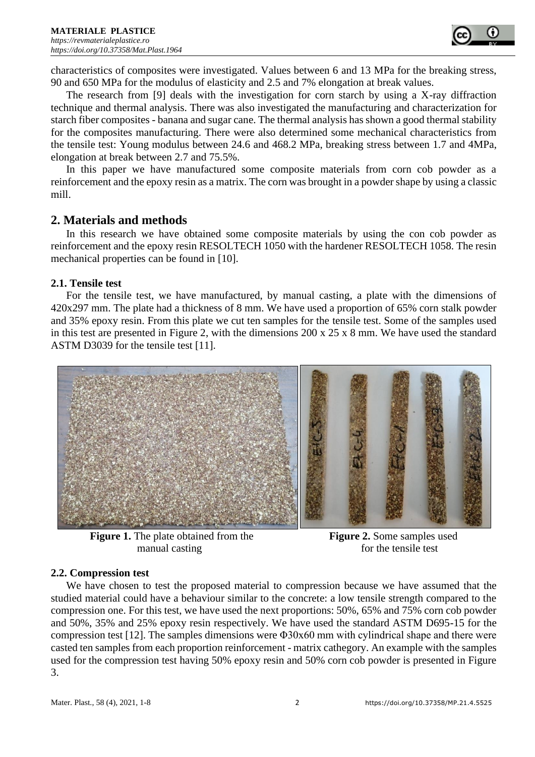

characteristics of composites were investigated. Values between 6 and 13 MPa for the breaking stress, 90 and 650 MPa for the modulus of elasticity and 2.5 and 7% elongation at break values.

The research from [9] deals with the investigation for corn starch by using a X-ray diffraction technique and thermal analysis. There was also investigated the manufacturing and characterization for starch fiber composites - banana and sugar cane. The thermal analysis has shown a good thermal stability for the composites manufacturing. There were also determined some mechanical characteristics from the tensile test: Young modulus between 24.6 and 468.2 MPa, breaking stress between 1.7 and 4MPa, elongation at break between 2.7 and 75.5%.

In this paper we have manufactured some composite materials from corn cob powder as a reinforcement and the epoxy resin as a matrix. The corn was brought in a powder shape by using a classic mill.

## **2. Materials and methods**

In this research we have obtained some composite materials by using the con cob powder as reinforcement and the epoxy resin RESOLTECH 1050 with the hardener RESOLTECH 1058. The resin mechanical properties can be found in [10].

## **2.1. Tensile test**

For the tensile test, we have manufactured, by manual casting, a plate with the dimensions of 420x297 mm. The plate had a thickness of 8 mm. We have used a proportion of 65% corn stalk powder and 35% epoxy resin. From this plate we cut ten samples for the tensile test. Some of the samples used in this test are presented in Figure 2, with the dimensions 200 x 25 x 8 mm. We have used the standard ASTM D3039 for the tensile test [11].



**Figure 1.** The plate obtained from the **Figure 2.** Some samples used manual casting for the tensile test

#### **2.2. Compression test**

We have chosen to test the proposed material to compression because we have assumed that the studied material could have a behaviour similar to the concrete: a low tensile strength compared to the compression one. For this test, we have used the next proportions: 50%, 65% and 75% corn cob powder and 50%, 35% and 25% epoxy resin respectively. We have used the standard ASTM D695-15 for the compression test [12]. The samples dimensions were Φ30x60 mm with cylindrical shape and there were casted ten samples from each proportion reinforcement - matrix cathegory. An example with the samples used for the compression test having 50% epoxy resin and 50% corn cob powder is presented in Figure 3.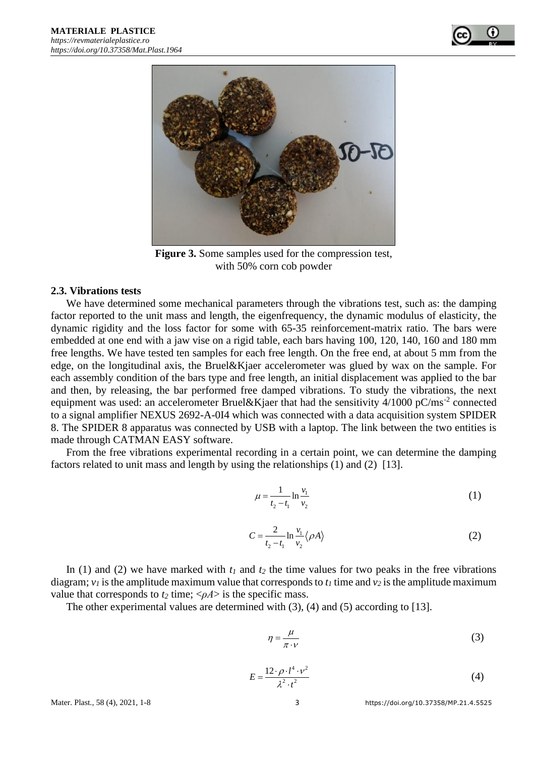



**Figure 3.** Some samples used for the compression test, with 50% corn cob powder

#### **2.3. Vibrations tests**

We have determined some mechanical parameters through the vibrations test, such as: the damping factor reported to the unit mass and length, the eigenfrequency, the dynamic modulus of elasticity, the dynamic rigidity and the loss factor for some with 65-35 reinforcement-matrix ratio. The bars were embedded at one end with a jaw vise on a rigid table, each bars having 100, 120, 140, 160 and 180 mm free lengths. We have tested ten samples for each free length. On the free end, at about 5 mm from the edge, on the longitudinal axis, the Bruel&Kjaer accelerometer was glued by wax on the sample. For each assembly condition of the bars type and free length, an initial displacement was applied to the bar and then, by releasing, the bar performed free damped vibrations. To study the vibrations, the next equipment was used: an accelerometer Bruel&Kjaer that had the sensitivity  $4/1000$  pC/ms<sup>-2</sup> connected to a signal amplifier NEXUS 2692-A-0I4 which was connected with a data acquisition system SPIDER 8. The SPIDER 8 apparatus was connected by USB with a laptop. The link between the two entities is made through CATMAN EASY software.

From the free vibrations experimental recording in a certain point, we can determine the damping factors related to unit mass and length by using the relationships (1) and (2) [13].

$$
\mu = \frac{1}{t_2 - t_1} \ln \frac{v_1}{v_2} \tag{1}
$$

$$
C = \frac{2}{t_2 - t_1} \ln \frac{v_1}{v_2} \langle \rho A \rangle
$$
 (2)

In (1) and (2) we have marked with  $t_1$  and  $t_2$  the time values for two peaks in the free vibrations diagram;  $v_l$  is the amplitude maximum value that corresponds to  $t_l$  time and  $v_2$  is the amplitude maximum value that corresponds to  $t_2$  time;  $\langle \rho A \rangle$  is the specific mass.

The other experimental values are determined with (3), (4) and (5) according to [13].

$$
\eta = \frac{\mu}{\pi \cdot \nu} \tag{3}
$$

$$
E = \frac{12 \cdot \rho \cdot l^4 \cdot \nu^2}{\lambda^2 \cdot t^2} \tag{4}
$$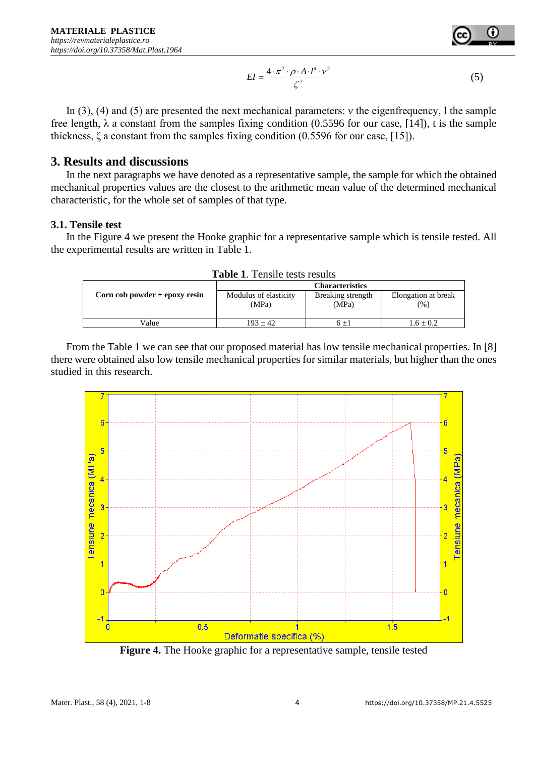

In (3), (4) and (5) are presented the next mechanical parameters: ν the eigenfrequency, l the sample free length,  $\lambda$  a constant from the samples fixing condition (0.5596 for our case, [14]), t is the sample thickness, ζ a constant from the samples fixing condition (0.5596 for our case, [15]).

## **3. Results and discussions**

In the next paragraphs we have denoted as a representative sample, the sample for which the obtained mechanical properties values are the closest to the arithmetic mean value of the determined mechanical characteristic, for the whole set of samples of that type.

#### **3.1. Tensile test**

In the Figure 4 we present the Hooke graphic for a representative sample which is tensile tested. All the experimental results are written in Table 1.

| <b>Table 1.</b> Tensite tests results |                        |                   |                     |  |  |  |
|---------------------------------------|------------------------|-------------------|---------------------|--|--|--|
|                                       | <b>Characteristics</b> |                   |                     |  |  |  |
| Corn $\cosh p$ powder + epoxy resin   | Modulus of elasticity  | Breaking strength | Elongation at break |  |  |  |
|                                       | (MPa)                  | (MPa)             | (% )                |  |  |  |
|                                       |                        |                   |                     |  |  |  |
| Value                                 | $193 + 42$             | $6 + 1$           | $1.6 \pm 0.2$       |  |  |  |
|                                       |                        |                   |                     |  |  |  |

**Table 1**. Tensile tests results

From the Table 1 we can see that our proposed material has low tensile mechanical properties. In [8] there were obtained also low tensile mechanical properties for similar materials, but higher than the ones studied in this research.



**Figure 4.** The Hooke graphic for a representative sample, tensile tested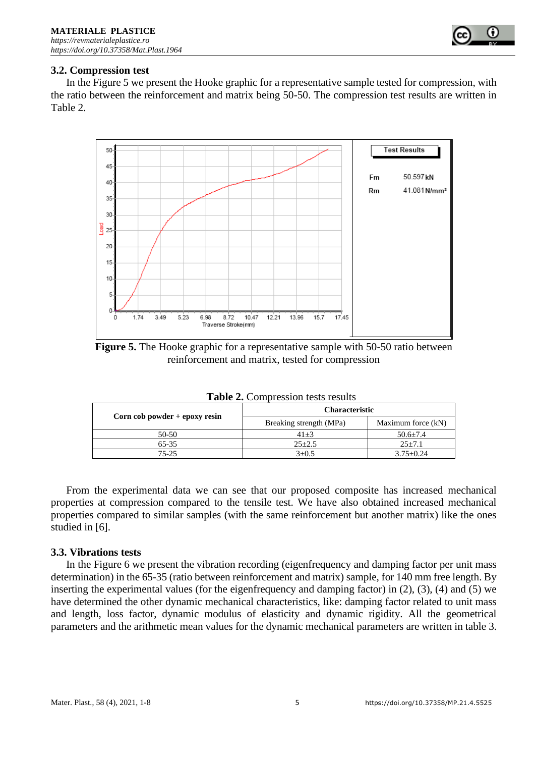

#### **3.2. Compression test**

In the Figure 5 we present the Hooke graphic for a representative sample tested for compression, with the ratio between the reinforcement and matrix being 50-50. The compression test results are written in Table 2.



**Figure 5.** The Hooke graphic for a representative sample with 50-50 ratio between reinforcement and matrix, tested for compression

|                                   | <b>Characteristic</b>   |                    |  |  |
|-----------------------------------|-------------------------|--------------------|--|--|
| Corn $\cosh$ powder + epoxy resin | Breaking strength (MPa) | Maximum force (kN) |  |  |
| 50-50                             | $41 + 3$                | $50.6 + 7.4$       |  |  |
| 65-35                             | $25 \pm 2.5$            | $25 \pm 7.1$       |  |  |
| 75-25                             | $3+0.5$                 | $3.75 \pm 0.24$    |  |  |

**Table 2.** Compression tests results

From the experimental data we can see that our proposed composite has increased mechanical properties at compression compared to the tensile test. We have also obtained increased mechanical properties compared to similar samples (with the same reinforcement but another matrix) like the ones studied in [6].

#### **3.3. Vibrations tests**

In the Figure 6 we present the vibration recording (eigenfrequency and damping factor per unit mass determination) in the 65-35 (ratio between reinforcement and matrix) sample, for 140 mm free length. By inserting the experimental values (for the eigenfrequency and damping factor) in (2), (3), (4) and (5) we have determined the other dynamic mechanical characteristics, like: damping factor related to unit mass and length, loss factor, dynamic modulus of elasticity and dynamic rigidity. All the geometrical parameters and the arithmetic mean values for the dynamic mechanical parameters are written in table 3.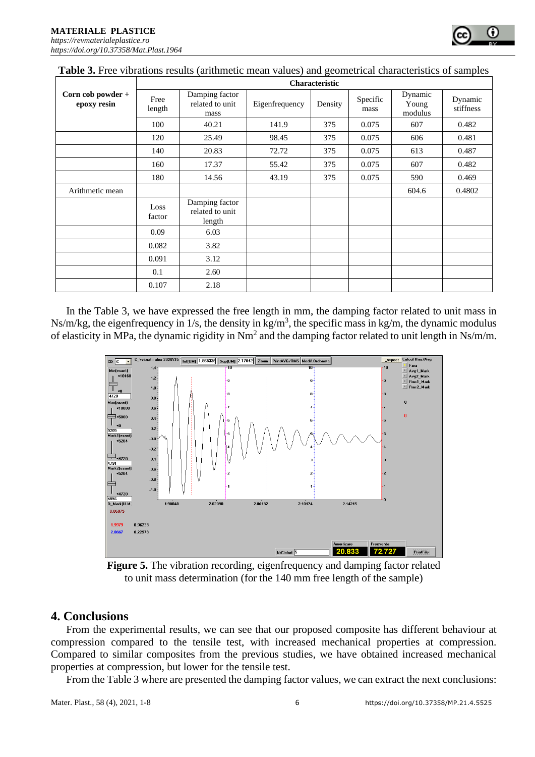|                                  | Characteristic |                                             |                |         |                  |                             |                      |  |
|----------------------------------|----------------|---------------------------------------------|----------------|---------|------------------|-----------------------------|----------------------|--|
| Corn cob powder +<br>epoxy resin | Free<br>length | Damping factor<br>related to unit<br>mass   | Eigenfrequency | Density | Specific<br>mass | Dynamic<br>Young<br>modulus | Dynamic<br>stiffness |  |
|                                  | 100            | 40.21                                       | 141.9          | 375     | 0.075            | 607                         | 0.482                |  |
|                                  | 120            | 25.49                                       | 98.45          | 375     | 0.075            | 606                         | 0.481                |  |
|                                  | 140            | 20.83                                       | 72.72          | 375     | 0.075            | 613                         | 0.487                |  |
|                                  | 160            | 17.37                                       | 55.42          | 375     | 0.075            | 607                         | 0.482                |  |
|                                  | 180            | 14.56                                       | 43.19          | 375     | 0.075            | 590                         | 0.469                |  |
| Arithmetic mean                  |                |                                             |                |         |                  | 604.6                       | 0.4802               |  |
|                                  | Loss<br>factor | Damping factor<br>related to unit<br>length |                |         |                  |                             |                      |  |
|                                  | 0.09           | 6.03                                        |                |         |                  |                             |                      |  |
|                                  | 0.082          | 3.82                                        |                |         |                  |                             |                      |  |
|                                  | 0.091          | 3.12                                        |                |         |                  |                             |                      |  |
|                                  | 0.1            | 2.60                                        |                |         |                  |                             |                      |  |
|                                  | 0.107          | 2.18                                        |                |         |                  |                             |                      |  |

In the Table 3, we have expressed the free length in mm, the damping factor related to unit mass in Ns/m/kg, the eigenfrequency in  $1/s$ , the density in kg/m<sup>3</sup>, the specific mass in kg/m, the dynamic modulus of elasticity in MPa, the dynamic rigidity in  $Nm^2$  and the damping factor related to unit length in Ns/m/m.



**Figure 5.** The vibration recording, eigenfrequency and damping factor related to unit mass determination (for the 140 mm free length of the sample)

# **4. Conclusions**

From the experimental results, we can see that our proposed composite has different behaviour at compression compared to the tensile test, with increased mechanical properties at compression. Compared to similar composites from the previous studies, we have obtained increased mechanical properties at compression, but lower for the tensile test.

From the Table 3 where are presented the damping factor values, we can extract the next conclusions: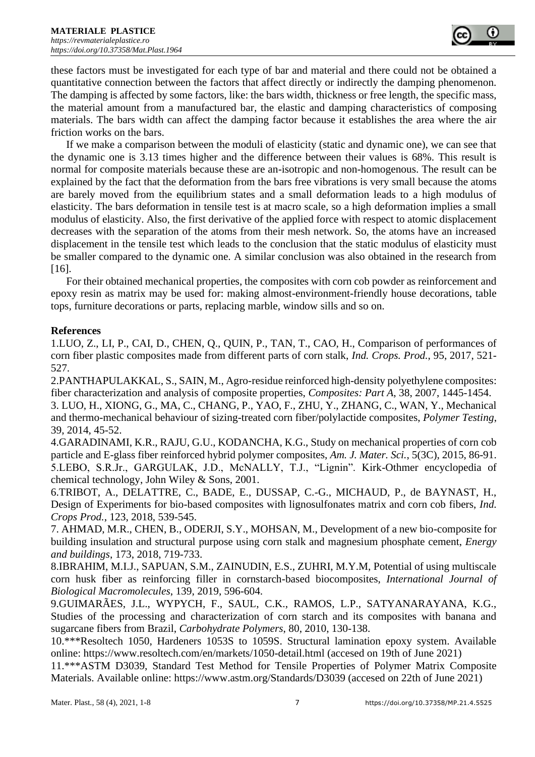these factors must be investigated for each type of bar and material and there could not be obtained a quantitative connection between the factors that affect directly or indirectly the damping phenomenon. The damping is affected by some factors, like: the bars width, thickness or free length, the specific mass, the material amount from a manufactured bar, the elastic and damping characteristics of composing materials. The bars width can affect the damping factor because it establishes the area where the air friction works on the bars.

If we make a comparison between the moduli of elasticity (static and dynamic one), we can see that the dynamic one is 3.13 times higher and the difference between their values is 68%. This result is normal for composite materials because these are an-isotropic and non-homogenous. The result can be explained by the fact that the deformation from the bars free vibrations is very small because the atoms are barely moved from the equilibrium states and a small deformation leads to a high modulus of elasticity. The bars deformation in tensile test is at macro scale, so a high deformation implies a small modulus of elasticity. Also, the first derivative of the applied force with respect to atomic displacement decreases with the separation of the atoms from their mesh network. So, the atoms have an increased displacement in the tensile test which leads to the conclusion that the static modulus of elasticity must be smaller compared to the dynamic one. A similar conclusion was also obtained in the research from [16].

For their obtained mechanical properties, the composites with corn cob powder as reinforcement and epoxy resin as matrix may be used for: making almost-environment-friendly house decorations, table tops, furniture decorations or parts, replacing marble, window sills and so on.

## **References**

1.LUO, Z., LI, P., CAI, D., CHEN, Q., QUIN, P., TAN, T., CAO, H., Comparison of performances of corn fiber plastic composites made from different parts of corn stalk, *Ind. Crops. Prod.*, 95, 2017, 521- 527.

2.PANTHAPULAKKAL, S., SAIN, M., Agro-residue reinforced high-density polyethylene composites: fiber characterization and analysis of composite properties, *Composites: Part A*, 38, 2007, 1445-1454. 3. LUO, H., XIONG, G., MA, C., CHANG, P., YAO, F., ZHU, Y., ZHANG, C., WAN, Y., Mechanical and thermo-mechanical behaviour of sizing-treated corn fiber/polylactide composites, *Polymer Testing*, 39, 2014, 45-52.

4.GARADINAMI, K.R., RAJU, G.U., KODANCHA, K.G., Study on mechanical properties of corn cob particle and E-glass fiber reinforced hybrid polymer composites, *Am. J. Mater. Sci.*, 5(3C), 2015, 86-91. 5.LEBO, S.R.Jr., GARGULAK, J.D., McNALLY, T.J., "Lignin". Kirk-Othmer encyclopedia of chemical technology, John Wiley & Sons, 2001.

6.TRIBOT, A., DELATTRE, C., BADE, E., DUSSAP, C.-G., MICHAUD, P., de BAYNAST, H., Design of Experiments for bio-based composites with lignosulfonates matrix and corn cob fibers, *Ind. Crops Prod.*, 123, 2018, 539-545.

7. AHMAD, M.R., CHEN, B., ODERJI, S.Y., MOHSAN, M., Development of a new bio-composite for building insulation and structural purpose using corn stalk and magnesium phosphate cement, *Energy and buildings*, 173, 2018, 719-733.

8.IBRAHIM, M.I.J., SAPUAN, S.M., ZAINUDIN, E.S., ZUHRI, M.Y.M, Potential of using multiscale corn husk fiber as reinforcing filler in cornstarch-based biocomposites, *International Journal of Biological Macromolecules*, 139, 2019, 596-604.

9.GUIMARÃES, J.L., WYPYCH, F., SAUL, C.K., RAMOS, L.P., SATYANARAYANA, K.G., Studies of the processing and characterization of corn starch and its composites with banana and sugarcane fibers from Brazil, *Carbohydrate Polymers*, 80, 2010, 130-138.

10.\*\*\*Resoltech 1050, Hardeners 1053S to 1059S. Structural lamination epoxy system. Available online: https://www.resoltech.com/en/markets/1050-detail.html (accesed on 19th of June 2021)

11.\*\*\*ASTM D3039, Standard Test Method for Tensile Properties of Polymer Matrix Composite Materials. Available online: https://www.astm.org/Standards/D3039 (accesed on 22th of June 2021)